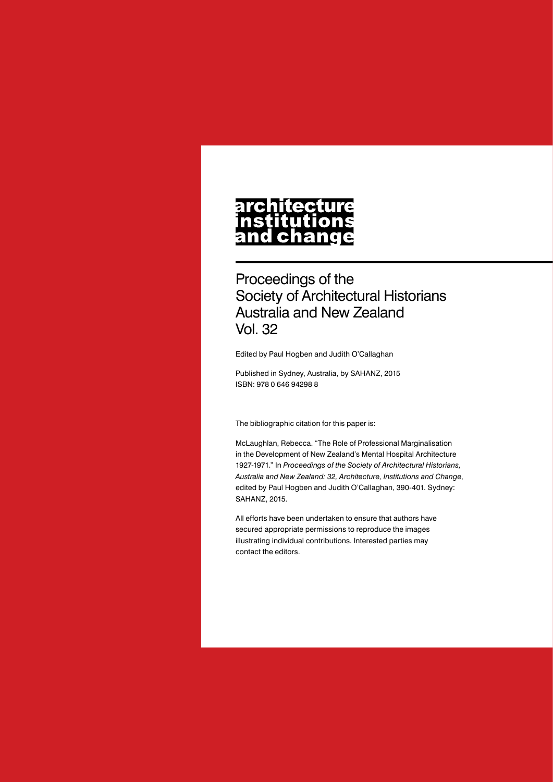# architecture nstitutions<br>and change

Proceedings of the Society of Architectural Historians Australia and New Zealand Vol. 32

Edited by Paul Hogben and Judith O'Callaghan

Published in Sydney, Australia, by SAHANZ, 2015 ISBN: 978 0 646 94298 8

The bibliographic citation for this paper is:

McLaughlan, Rebecca. "The Role of Professional Marginalisation in the Development of New Zealand's Mental Hospital Architecture 1927-1971." In *Proceedings of the Society of Architectural Historians, Australia and New Zealand: 32, Architecture, Institutions and Change*, edited by Paul Hogben and Judith O'Callaghan, 390-401. Sydney: SAHANZ, 2015.

All efforts have been undertaken to ensure that authors have secured appropriate permissions to reproduce the images illustrating individual contributions. Interested parties may contact the editors.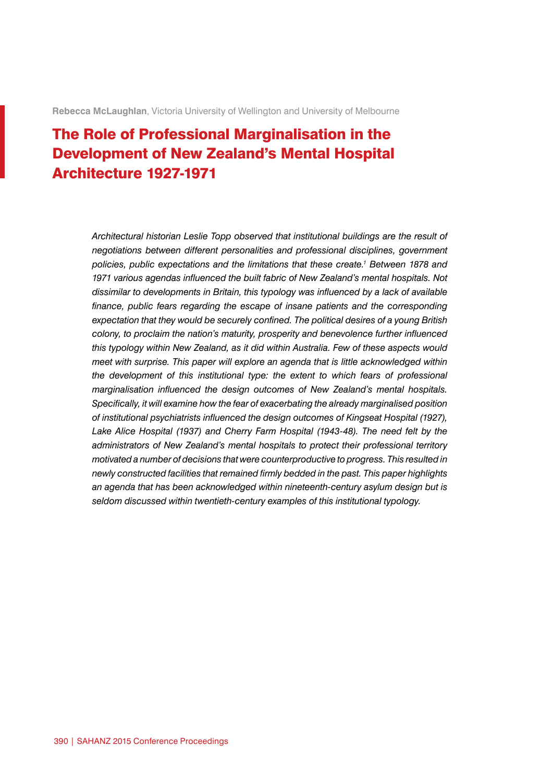**Rebecca McLaughlan**, Victoria University of Wellington and University of Melbourne

# The Role of Professional Marginalisation in the Development of New Zealand's Mental Hospital Architecture 1927-1971

*Architectural historian Leslie Topp observed that institutional buildings are the result of negotiations between different personalities and professional disciplines, government policies, public expectations and the limitations that these create.1 Between 1878 and 1971 various agendas influenced the built fabric of New Zealand's mental hospitals. Not dissimilar to developments in Britain, this typology was influenced by a lack of available finance, public fears regarding the escape of insane patients and the corresponding expectation that they would be securely confined. The political desires of a young British colony, to proclaim the nation's maturity, prosperity and benevolence further influenced this typology within New Zealand, as it did within Australia. Few of these aspects would meet with surprise. This paper will explore an agenda that is little acknowledged within the development of this institutional type: the extent to which fears of professional marginalisation influenced the design outcomes of New Zealand's mental hospitals. Specifically, it will examine how the fear of exacerbating the already marginalised position of institutional psychiatrists influenced the design outcomes of Kingseat Hospital (1927),*  Lake Alice Hospital (1937) and Cherry Farm Hospital (1943-48). The need felt by the *administrators of New Zealand's mental hospitals to protect their professional territory motivated a number of decisions that were counterproductive to progress. This resulted in newly constructed facilities that remained firmly bedded in the past. This paper highlights an agenda that has been acknowledged within nineteenth-century asylum design but is seldom discussed within twentieth-century examples of this institutional typology.*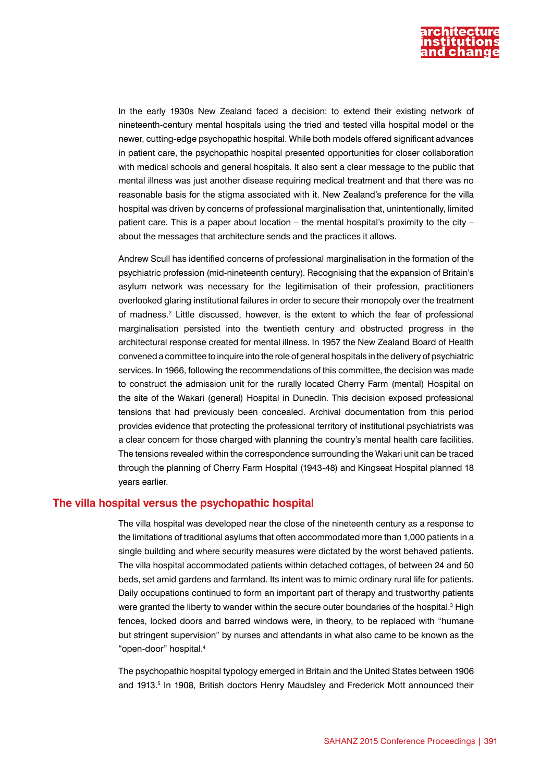

In the early 1930s New Zealand faced a decision: to extend their existing network of nineteenth-century mental hospitals using the tried and tested villa hospital model or the newer, cutting-edge psychopathic hospital. While both models offered significant advances in patient care, the psychopathic hospital presented opportunities for closer collaboration with medical schools and general hospitals. It also sent a clear message to the public that mental illness was just another disease requiring medical treatment and that there was no reasonable basis for the stigma associated with it. New Zealand's preference for the villa hospital was driven by concerns of professional marginalisation that, unintentionally, limited patient care. This is a paper about location – the mental hospital's proximity to the city – about the messages that architecture sends and the practices it allows.

Andrew Scull has identified concerns of professional marginalisation in the formation of the psychiatric profession (mid-nineteenth century). Recognising that the expansion of Britain's asylum network was necessary for the legitimisation of their profession, practitioners overlooked glaring institutional failures in order to secure their monopoly over the treatment of madness.2 Little discussed, however, is the extent to which the fear of professional marginalisation persisted into the twentieth century and obstructed progress in the architectural response created for mental illness. In 1957 the New Zealand Board of Health convened a committee to inquire into the role of general hospitals in the delivery of psychiatric services. In 1966, following the recommendations of this committee, the decision was made to construct the admission unit for the rurally located Cherry Farm (mental) Hospital on the site of the Wakari (general) Hospital in Dunedin. This decision exposed professional tensions that had previously been concealed. Archival documentation from this period provides evidence that protecting the professional territory of institutional psychiatrists was a clear concern for those charged with planning the country's mental health care facilities. The tensions revealed within the correspondence surrounding the Wakari unit can be traced through the planning of Cherry Farm Hospital (1943-48) and Kingseat Hospital planned 18 years earlier.

## **The villa hospital versus the psychopathic hospital**

The villa hospital was developed near the close of the nineteenth century as a response to the limitations of traditional asylums that often accommodated more than 1,000 patients in a single building and where security measures were dictated by the worst behaved patients. The villa hospital accommodated patients within detached cottages, of between 24 and 50 beds, set amid gardens and farmland. Its intent was to mimic ordinary rural life for patients. Daily occupations continued to form an important part of therapy and trustworthy patients were granted the liberty to wander within the secure outer boundaries of the hospital.<sup>3</sup> High fences, locked doors and barred windows were, in theory, to be replaced with "humane but stringent supervision" by nurses and attendants in what also came to be known as the "open-door" hospital.4

The psychopathic hospital typology emerged in Britain and the United States between 1906 and 1913.<sup>5</sup> In 1908, British doctors Henry Maudsley and Frederick Mott announced their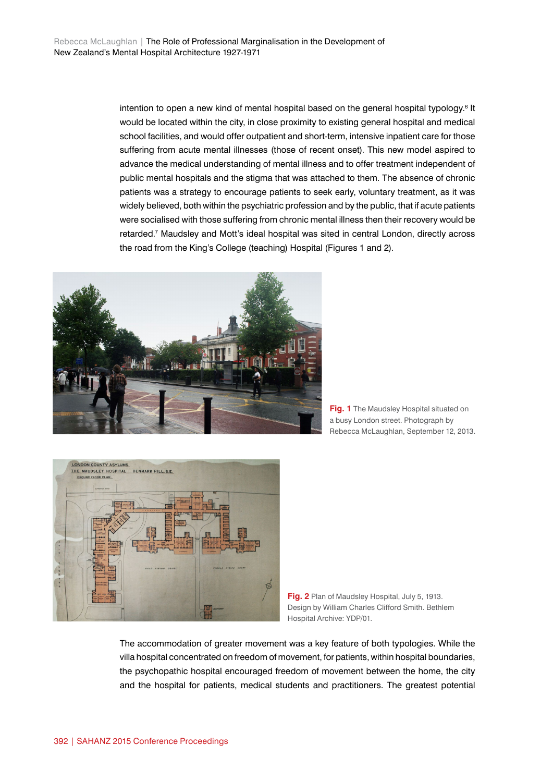intention to open a new kind of mental hospital based on the general hospital typology.<sup>6</sup> It would be located within the city, in close proximity to existing general hospital and medical school facilities, and would offer outpatient and short-term, intensive inpatient care for those suffering from acute mental illnesses (those of recent onset). This new model aspired to advance the medical understanding of mental illness and to offer treatment independent of public mental hospitals and the stigma that was attached to them. The absence of chronic patients was a strategy to encourage patients to seek early, voluntary treatment, as it was widely believed, both within the psychiatric profession and by the public, that if acute patients were socialised with those suffering from chronic mental illness then their recovery would be retarded.7 Maudsley and Mott's ideal hospital was sited in central London, directly across the road from the King's College (teaching) Hospital (Figures 1 and 2).



**Fig. 1** The Maudsley Hospital situated on a busy London street. Photograph by Rebecca McLaughlan, September 12, 2013.



**Fig. 2** Plan of Maudsley Hospital, July 5, 1913. Design by William Charles Clifford Smith. Bethlem Hospital Archive: YDP/01.

The accommodation of greater movement was a key feature of both typologies. While the villa hospital concentrated on freedom of movement, for patients, within hospital boundaries, the psychopathic hospital encouraged freedom of movement between the home, the city and the hospital for patients, medical students and practitioners. The greatest potential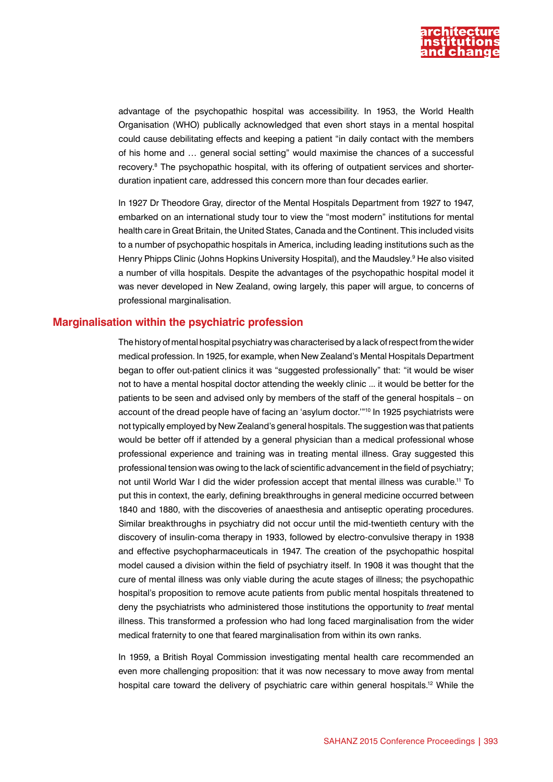

advantage of the psychopathic hospital was accessibility. In 1953, the World Health Organisation (WHO) publically acknowledged that even short stays in a mental hospital could cause debilitating effects and keeping a patient "in daily contact with the members of his home and … general social setting" would maximise the chances of a successful recovery.<sup>8</sup> The psychopathic hospital, with its offering of outpatient services and shorterduration inpatient care, addressed this concern more than four decades earlier.

In 1927 Dr Theodore Gray, director of the Mental Hospitals Department from 1927 to 1947, embarked on an international study tour to view the "most modern" institutions for mental health care in Great Britain, the United States, Canada and the Continent. This included visits to a number of psychopathic hospitals in America, including leading institutions such as the Henry Phipps Clinic (Johns Hopkins University Hospital), and the Maudsley.<sup>9</sup> He also visited a number of villa hospitals. Despite the advantages of the psychopathic hospital model it was never developed in New Zealand, owing largely, this paper will argue, to concerns of professional marginalisation.

# **Marginalisation within the psychiatric profession**

The history of mental hospital psychiatry was characterised by a lack of respect from the wider medical profession. In 1925, for example, when New Zealand's Mental Hospitals Department began to offer out-patient clinics it was "suggested professionally" that: "it would be wiser not to have a mental hospital doctor attending the weekly clinic ... it would be better for the patients to be seen and advised only by members of the staff of the general hospitals – on account of the dread people have of facing an 'asylum doctor.'"10 In 1925 psychiatrists were not typically employed by New Zealand's general hospitals. The suggestion was that patients would be better off if attended by a general physician than a medical professional whose professional experience and training was in treating mental illness. Gray suggested this professional tension was owing to the lack of scientific advancement in the field of psychiatry; not until World War I did the wider profession accept that mental illness was curable.11 To put this in context, the early, defining breakthroughs in general medicine occurred between 1840 and 1880, with the discoveries of anaesthesia and antiseptic operating procedures. Similar breakthroughs in psychiatry did not occur until the mid-twentieth century with the discovery of insulin-coma therapy in 1933, followed by electro-convulsive therapy in 1938 and effective psychopharmaceuticals in 1947. The creation of the psychopathic hospital model caused a division within the field of psychiatry itself. In 1908 it was thought that the cure of mental illness was only viable during the acute stages of illness; the psychopathic hospital's proposition to remove acute patients from public mental hospitals threatened to deny the psychiatrists who administered those institutions the opportunity to *treat* mental illness. This transformed a profession who had long faced marginalisation from the wider medical fraternity to one that feared marginalisation from within its own ranks.

In 1959, a British Royal Commission investigating mental health care recommended an even more challenging proposition: that it was now necessary to move away from mental hospital care toward the delivery of psychiatric care within general hospitals.<sup>12</sup> While the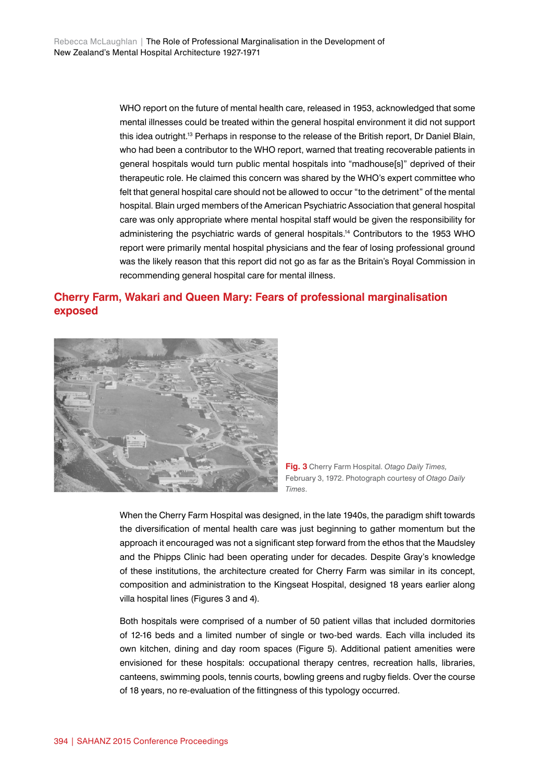WHO report on the future of mental health care, released in 1953, acknowledged that some mental illnesses could be treated within the general hospital environment it did not support this idea outright.13 Perhaps in response to the release of the British report, Dr Daniel Blain, who had been a contributor to the WHO report, warned that treating recoverable patients in general hospitals would turn public mental hospitals into "madhouse[s]" deprived of their therapeutic role. He claimed this concern was shared by the WHO's expert committee who felt that general hospital care should not be allowed to occur "to the detriment" of the mental hospital. Blain urged members of the American Psychiatric Association that general hospital care was only appropriate where mental hospital staff would be given the responsibility for administering the psychiatric wards of general hospitals.14 Contributors to the 1953 WHO report were primarily mental hospital physicians and the fear of losing professional ground was the likely reason that this report did not go as far as the Britain's Royal Commission in recommending general hospital care for mental illness.

# **Cherry Farm, Wakari and Queen Mary: Fears of professional marginalisation exposed**





When the Cherry Farm Hospital was designed, in the late 1940s, the paradigm shift towards the diversification of mental health care was just beginning to gather momentum but the approach it encouraged was not a significant step forward from the ethos that the Maudsley and the Phipps Clinic had been operating under for decades. Despite Gray's knowledge of these institutions, the architecture created for Cherry Farm was similar in its concept, composition and administration to the Kingseat Hospital, designed 18 years earlier along villa hospital lines (Figures 3 and 4).

Both hospitals were comprised of a number of 50 patient villas that included dormitories of 12-16 beds and a limited number of single or two-bed wards. Each villa included its own kitchen, dining and day room spaces (Figure 5). Additional patient amenities were envisioned for these hospitals: occupational therapy centres, recreation halls, libraries, canteens, swimming pools, tennis courts, bowling greens and rugby fields. Over the course of 18 years, no re-evaluation of the fittingness of this typology occurred.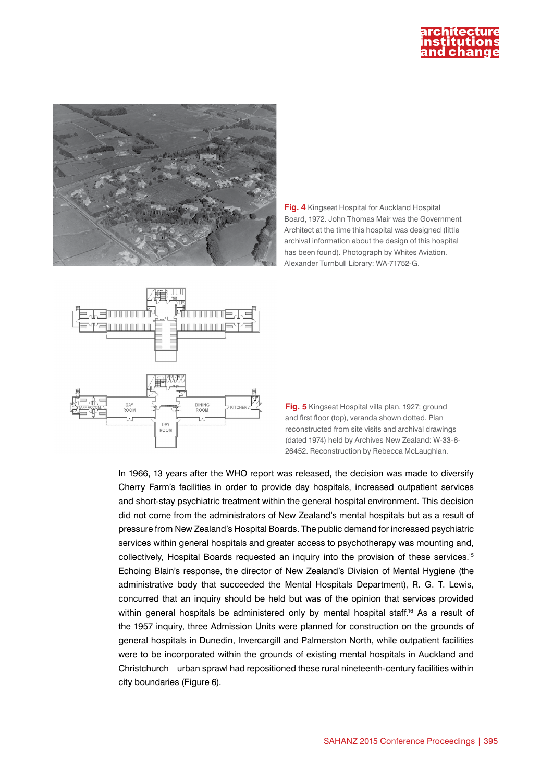



**Fig. 4** Kingseat Hospital for Auckland Hospital Board, 1972. John Thomas Mair was the Government Architect at the time this hospital was designed (little archival information about the design of this hospital has been found). Photograph by Whites Aviation. Alexander Turnbull Library: WA-71752-G.



**Fig. 5** Kingseat Hospital villa plan, 1927; ground and first floor (top), veranda shown dotted. Plan reconstructed from site visits and archival drawings (dated 1974) held by Archives New Zealand: W-33-6- 26452. Reconstruction by Rebecca McLaughlan.

In 1966, 13 years after the WHO report was released, the decision was made to diversify Cherry Farm's facilities in order to provide day hospitals, increased outpatient services and short-stay psychiatric treatment within the general hospital environment. This decision did not come from the administrators of New Zealand's mental hospitals but as a result of pressure from New Zealand's Hospital Boards. The public demand for increased psychiatric services within general hospitals and greater access to psychotherapy was mounting and, collectively, Hospital Boards requested an inquiry into the provision of these services.<sup>15</sup> Echoing Blain's response, the director of New Zealand's Division of Mental Hygiene (the administrative body that succeeded the Mental Hospitals Department), R. G. T. Lewis, concurred that an inquiry should be held but was of the opinion that services provided within general hospitals be administered only by mental hospital staff.<sup>16</sup> As a result of the 1957 inquiry, three Admission Units were planned for construction on the grounds of general hospitals in Dunedin, Invercargill and Palmerston North, while outpatient facilities were to be incorporated within the grounds of existing mental hospitals in Auckland and Christchurch – urban sprawl had repositioned these rural nineteenth-century facilities within city boundaries (Figure 6).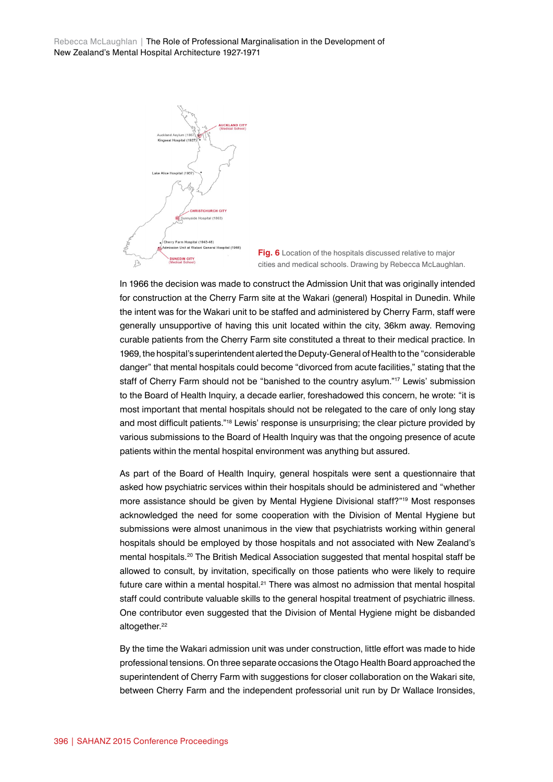Rebecca McLaughlan | The Role of Professional Marginalisation in the Development of New Zealand's Mental Hospital Architecture 1927-1971



**Fig. 6** Location of the hospitals discussed relative to major cities and medical schools. Drawing by Rebecca McLaughlan.

In 1966 the decision was made to construct the Admission Unit that was originally intended for construction at the Cherry Farm site at the Wakari (general) Hospital in Dunedin. While the intent was for the Wakari unit to be staffed and administered by Cherry Farm, staff were generally unsupportive of having this unit located within the city, 36km away. Removing curable patients from the Cherry Farm site constituted a threat to their medical practice. In 1969, the hospital's superintendent alerted the Deputy-General of Health to the "considerable danger" that mental hospitals could become "divorced from acute facilities," stating that the staff of Cherry Farm should not be "banished to the country asylum."<sup>17</sup> Lewis' submission to the Board of Health Inquiry, a decade earlier, foreshadowed this concern, he wrote: "it is most important that mental hospitals should not be relegated to the care of only long stay and most difficult patients."18 Lewis' response is unsurprising; the clear picture provided by various submissions to the Board of Health Inquiry was that the ongoing presence of acute patients within the mental hospital environment was anything but assured.

As part of the Board of Health Inquiry, general hospitals were sent a questionnaire that asked how psychiatric services within their hospitals should be administered and "whether more assistance should be given by Mental Hygiene Divisional staff?"19 Most responses acknowledged the need for some cooperation with the Division of Mental Hygiene but submissions were almost unanimous in the view that psychiatrists working within general hospitals should be employed by those hospitals and not associated with New Zealand's mental hospitals.<sup>20</sup> The British Medical Association suggested that mental hospital staff be allowed to consult, by invitation, specifically on those patients who were likely to require future care within a mental hospital.<sup>21</sup> There was almost no admission that mental hospital staff could contribute valuable skills to the general hospital treatment of psychiatric illness. One contributor even suggested that the Division of Mental Hygiene might be disbanded altogether.<sup>22</sup>

By the time the Wakari admission unit was under construction, little effort was made to hide professional tensions. On three separate occasions the Otago Health Board approached the superintendent of Cherry Farm with suggestions for closer collaboration on the Wakari site, between Cherry Farm and the independent professorial unit run by Dr Wallace Ironsides,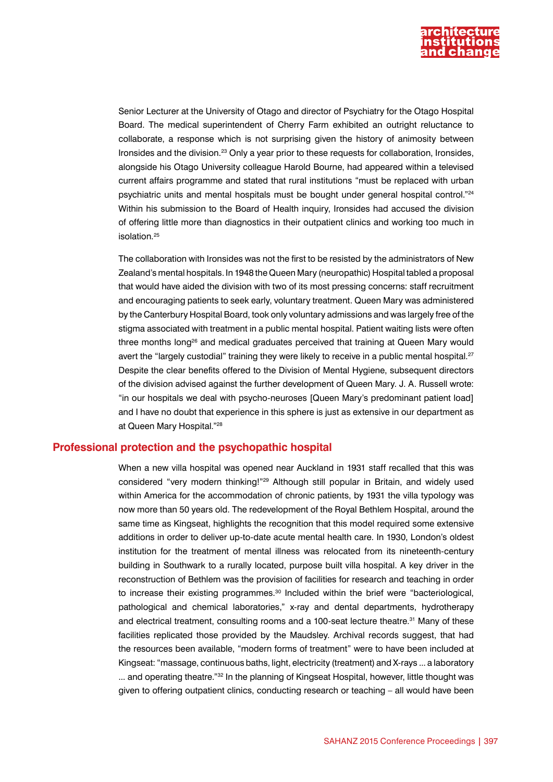

Senior Lecturer at the University of Otago and director of Psychiatry for the Otago Hospital Board. The medical superintendent of Cherry Farm exhibited an outright reluctance to collaborate, a response which is not surprising given the history of animosity between Ironsides and the division.23 Only a year prior to these requests for collaboration, Ironsides, alongside his Otago University colleague Harold Bourne, had appeared within a televised current affairs programme and stated that rural institutions "must be replaced with urban psychiatric units and mental hospitals must be bought under general hospital control."24 Within his submission to the Board of Health inquiry, Ironsides had accused the division of offering little more than diagnostics in their outpatient clinics and working too much in isolation.<sup>25</sup>

The collaboration with Ironsides was not the first to be resisted by the administrators of New Zealand's mental hospitals. In 1948 the Queen Mary (neuropathic) Hospital tabled a proposal that would have aided the division with two of its most pressing concerns: staff recruitment and encouraging patients to seek early, voluntary treatment. Queen Mary was administered by the Canterbury Hospital Board, took only voluntary admissions and was largely free of the stigma associated with treatment in a public mental hospital. Patient waiting lists were often three months long<sup>26</sup> and medical graduates perceived that training at Queen Mary would avert the "largely custodial" training they were likely to receive in a public mental hospital.<sup>27</sup> Despite the clear benefits offered to the Division of Mental Hygiene, subsequent directors of the division advised against the further development of Queen Mary. J. A. Russell wrote: "in our hospitals we deal with psycho-neuroses [Queen Mary's predominant patient load] and I have no doubt that experience in this sphere is just as extensive in our department as at Queen Mary Hospital."28

## **Professional protection and the psychopathic hospital**

When a new villa hospital was opened near Auckland in 1931 staff recalled that this was considered "very modern thinking!"29 Although still popular in Britain, and widely used within America for the accommodation of chronic patients, by 1931 the villa typology was now more than 50 years old. The redevelopment of the Royal Bethlem Hospital, around the same time as Kingseat, highlights the recognition that this model required some extensive additions in order to deliver up-to-date acute mental health care. In 1930, London's oldest institution for the treatment of mental illness was relocated from its nineteenth-century building in Southwark to a rurally located, purpose built villa hospital. A key driver in the reconstruction of Bethlem was the provision of facilities for research and teaching in order to increase their existing programmes.<sup>30</sup> Included within the brief were "bacteriological, pathological and chemical laboratories," x-ray and dental departments, hydrotherapy and electrical treatment, consulting rooms and a 100-seat lecture theatre.<sup>31</sup> Many of these facilities replicated those provided by the Maudsley. Archival records suggest, that had the resources been available, "modern forms of treatment" were to have been included at Kingseat: "massage, continuous baths, light, electricity (treatment) and X-rays ... a laboratory ... and operating theatre."<sup>32</sup> In the planning of Kingseat Hospital, however, little thought was given to offering outpatient clinics, conducting research or teaching – all would have been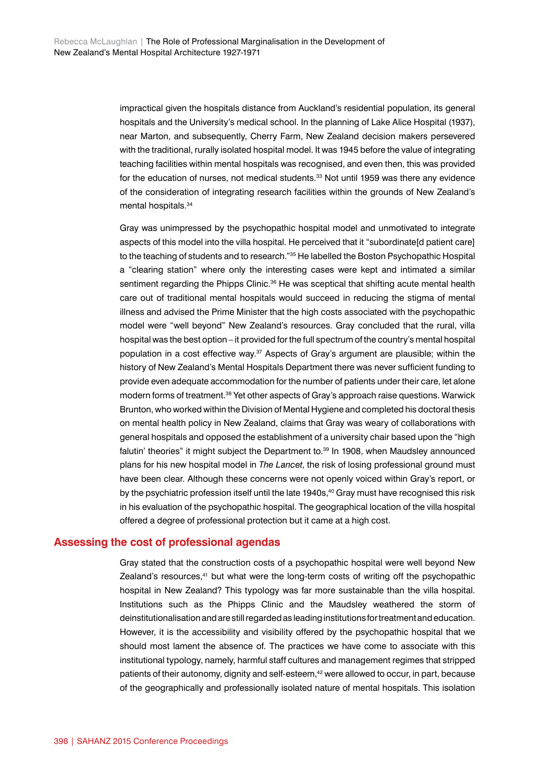impractical given the hospitals distance from Auckland's residential population, its general hospitals and the University's medical school. In the planning of Lake Alice Hospital (1937), near Marton, and subsequently, Cherry Farm, New Zealand decision makers persevered with the traditional, rurally isolated hospital model. It was 1945 before the value of integrating teaching facilities within mental hospitals was recognised, and even then, this was provided for the education of nurses, not medical students.<sup>33</sup> Not until 1959 was there any evidence of the consideration of integrating research facilities within the grounds of New Zealand's mental hospitals.34

Gray was unimpressed by the psychopathic hospital model and unmotivated to integrate aspects of this model into the villa hospital. He perceived that it "subordinate[d patient care] to the teaching of students and to research."35 He labelled the Boston Psychopathic Hospital a "clearing station" where only the interesting cases were kept and intimated a similar sentiment regarding the Phipps Clinic.<sup>36</sup> He was sceptical that shifting acute mental health care out of traditional mental hospitals would succeed in reducing the stigma of mental illness and advised the Prime Minister that the high costs associated with the psychopathic model were "well beyond" New Zealand's resources. Gray concluded that the rural, villa hospital was the best option – it provided for the full spectrum of the country's mental hospital population in a cost effective way.37 Aspects of Gray's argument are plausible; within the history of New Zealand's Mental Hospitals Department there was never sufficient funding to provide even adequate accommodation for the number of patients under their care, let alone modern forms of treatment.38 Yet other aspects of Gray's approach raise questions. Warwick Brunton, who worked within the Division of Mental Hygiene and completed his doctoral thesis on mental health policy in New Zealand, claims that Gray was weary of collaborations with general hospitals and opposed the establishment of a university chair based upon the "high falutin' theories" it might subject the Department to.<sup>39</sup> In 1908, when Maudsley announced plans for his new hospital model in *The Lancet*, the risk of losing professional ground must have been clear. Although these concerns were not openly voiced within Gray's report, or by the psychiatric profession itself until the late 1940s,<sup>40</sup> Gray must have recognised this risk in his evaluation of the psychopathic hospital. The geographical location of the villa hospital offered a degree of professional protection but it came at a high cost.

#### **Assessing the cost of professional agendas**

Gray stated that the construction costs of a psychopathic hospital were well beyond New Zealand's resources.<sup>41</sup> but what were the long-term costs of writing off the psychopathic hospital in New Zealand? This typology was far more sustainable than the villa hospital. Institutions such as the Phipps Clinic and the Maudsley weathered the storm of deinstitutionalisation and are still regarded as leading institutions for treatment and education. However, it is the accessibility and visibility offered by the psychopathic hospital that we should most lament the absence of. The practices we have come to associate with this institutional typology, namely, harmful staff cultures and management regimes that stripped patients of their autonomy, dignity and self-esteem,<sup>42</sup> were allowed to occur, in part, because of the geographically and professionally isolated nature of mental hospitals. This isolation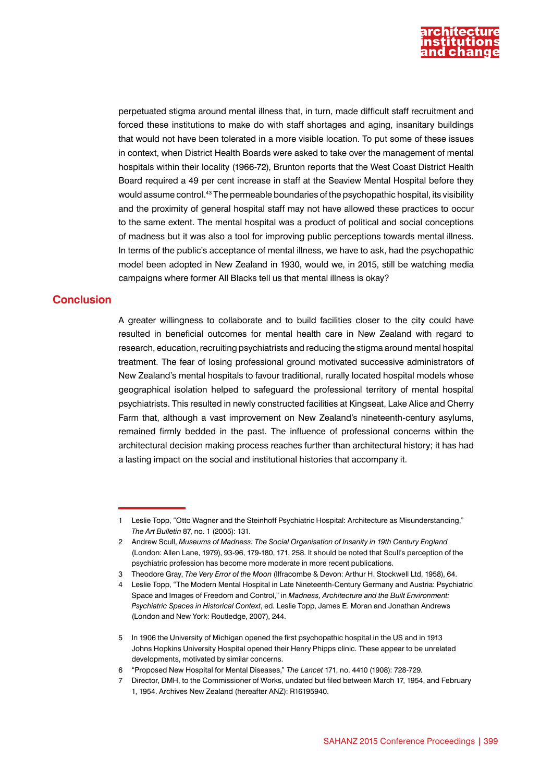

perpetuated stigma around mental illness that, in turn, made difficult staff recruitment and forced these institutions to make do with staff shortages and aging, insanitary buildings that would not have been tolerated in a more visible location. To put some of these issues in context, when District Health Boards were asked to take over the management of mental hospitals within their locality (1966-72), Brunton reports that the West Coast District Health Board required a 49 per cent increase in staff at the Seaview Mental Hospital before they would assume control.43 The permeable boundaries of the psychopathic hospital, its visibility and the proximity of general hospital staff may not have allowed these practices to occur to the same extent. The mental hospital was a product of political and social conceptions of madness but it was also a tool for improving public perceptions towards mental illness. In terms of the public's acceptance of mental illness, we have to ask, had the psychopathic model been adopted in New Zealand in 1930, would we, in 2015, still be watching media campaigns where former All Blacks tell us that mental illness is okay?

# **Conclusion**

A greater willingness to collaborate and to build facilities closer to the city could have resulted in beneficial outcomes for mental health care in New Zealand with regard to research, education, recruiting psychiatrists and reducing the stigma around mental hospital treatment. The fear of losing professional ground motivated successive administrators of New Zealand's mental hospitals to favour traditional, rurally located hospital models whose geographical isolation helped to safeguard the professional territory of mental hospital psychiatrists. This resulted in newly constructed facilities at Kingseat, Lake Alice and Cherry Farm that, although a vast improvement on New Zealand's nineteenth-century asylums, remained firmly bedded in the past. The influence of professional concerns within the architectural decision making process reaches further than architectural history; it has had a lasting impact on the social and institutional histories that accompany it.

<sup>1</sup> Leslie Topp, "Otto Wagner and the Steinhoff Psychiatric Hospital: Architecture as Misunderstanding," *The Art Bulletin* 87, no. 1 (2005): 131.

<sup>2</sup> Andrew Scull, *Museums of Madness: The Social Organisation of Insanity in 19th Century England* (London: Allen Lane, 1979), 93-96, 179-180, 171, 258. It should be noted that Scull's perception of the psychiatric profession has become more moderate in more recent publications.

<sup>3</sup> Theodore Gray, *The Very Error of the Moon* (Ilfracombe & Devon: Arthur H. Stockwell Ltd, 1958), 64.

<sup>4</sup> Leslie Topp, "The Modern Mental Hospital in Late Nineteenth-Century Germany and Austria: Psychiatric Space and Images of Freedom and Control," in *Madness, Architecture and the Built Environment: Psychiatric Spaces in Historical Context*, ed. Leslie Topp, James E. Moran and Jonathan Andrews (London and New York: Routledge, 2007), 244.

<sup>5</sup> In 1906 the University of Michigan opened the first psychopathic hospital in the US and in 1913 Johns Hopkins University Hospital opened their Henry Phipps clinic. These appear to be unrelated developments, motivated by similar concerns.

<sup>6</sup> "Proposed New Hospital for Mental Diseases," *The Lancet* 171, no. 4410 (1908): 728-729.

<sup>7</sup> Director, DMH, to the Commissioner of Works, undated but filed between March 17, 1954, and February 1, 1954. Archives New Zealand (hereafter ANZ): R16195940.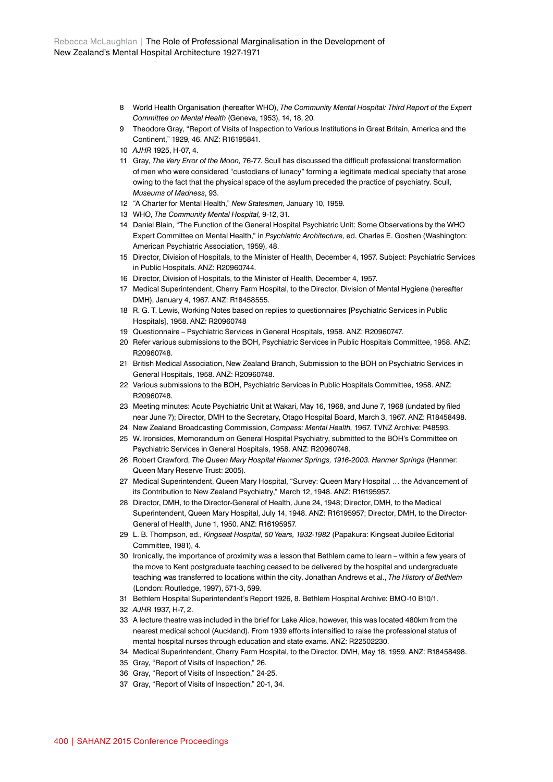- 8 World Health Organisation (hereafter WHO), *The Community Mental Hospital: Third Report of the Expert Committee on Mental Health* (Geneva, 1953), 14, 18, 20.
- 9 Theodore Gray, "Report of Visits of Inspection to Various Institutions in Great Britain, America and the Continent," 1929, 46. ANZ: R16195841.
- 10 *AJHR* 1925, H-07, 4.
- 11 Gray, *The Very Error of the Moon,* 76-77. Scull has discussed the difficult professional transformation of men who were considered "custodians of lunacy" forming a legitimate medical specialty that arose owing to the fact that the physical space of the asylum preceded the practice of psychiatry. Scull, *Museums of Madness*, 93.
- 12 "A Charter for Mental Health," *New Statesmen*, January 10, 1959.
- 13 WHO, *The Community Mental Hospital,* 9-12, 31.
- 14 Daniel Blain, "The Function of the General Hospital Psychiatric Unit: Some Observations by the WHO Expert Committee on Mental Health," in *Psychiatric Architecture,* ed. Charles E. Goshen (Washington: American Psychiatric Association, 1959), 48.
- 15 Director, Division of Hospitals, to the Minister of Health, December 4, 1957. Subject: Psychiatric Services in Public Hospitals. ANZ: R20960744.
- 16 Director, Division of Hospitals, to the Minister of Health, December 4, 1957.
- 17 Medical Superintendent, Cherry Farm Hospital, to the Director, Division of Mental Hygiene (hereafter DMH), January 4, 1967. ANZ: R18458555.
- 18 R. G. T. Lewis, Working Notes based on replies to questionnaires [Psychiatric Services in Public Hospitals], 1958. ANZ: R20960748
- 19 Questionnaire Psychiatric Services in General Hospitals, 1958. ANZ: R20960747.
- 20 Refer various submissions to the BOH, Psychiatric Services in Public Hospitals Committee, 1958. ANZ: R20960748.
- 21 British Medical Association, New Zealand Branch, Submission to the BOH on Psychiatric Services in General Hospitals, 1958. ANZ: R20960748.
- 22 Various submissions to the BOH, Psychiatric Services in Public Hospitals Committee, 1958. ANZ: R20960748.
- 23 Meeting minutes: Acute Psychiatric Unit at Wakari, May 16, 1968, and June 7, 1968 (undated by filed near June 7); Director, DMH to the Secretary, Otago Hospital Board, March 3, 1967. ANZ: R18458498.
- 24 New Zealand Broadcasting Commission, *Compass: Mental Health,* 1967. TVNZ Archive: P48593.
- 25 W. Ironsides, Memorandum on General Hospital Psychiatry, submitted to the BOH's Committee on Psychiatric Services in General Hospitals, 1958. ANZ: R20960748.
- 26 Robert Crawford, *The Queen Mary Hospital Hanmer Springs, 1916-2003. Hanmer Springs* (Hanmer: Queen Mary Reserve Trust: 2005).
- 27 Medical Superintendent, Queen Mary Hospital, "Survey: Queen Mary Hospital … the Advancement of its Contribution to New Zealand Psychiatry," March 12, 1948. ANZ: R16195957.
- 28 Director, DMH, to the Director-General of Health, June 24, 1948; Director, DMH, to the Medical Superintendent, Queen Mary Hospital, July 14, 1948. ANZ: R16195957; Director, DMH, to the Director-General of Health, June 1, 1950. ANZ: R16195957.
- 29 L. B. Thompson, ed., *Kingseat Hospital, 50 Years, 1932-1982* (Papakura: Kingseat Jubilee Editorial Committee, 1981), 4.
- 30 Ironically, the importance of proximity was a lesson that Bethlem came to learn within a few years of the move to Kent postgraduate teaching ceased to be delivered by the hospital and undergraduate teaching was transferred to locations within the city. Jonathan Andrews et al., *The History of Bethlem*  (London: Routledge, 1997), 571-3, 599.
- 31 Bethlem Hospital Superintendent's Report 1926, 8. Bethlem Hospital Archive: BMO-10 B10/1.
- 32 *AJHR* 1937, H-7, 2.
- 33 A lecture theatre was included in the brief for Lake Alice, however, this was located 480km from the nearest medical school (Auckland). From 1939 efforts intensified to raise the professional status of mental hospital nurses through education and state exams. ANZ: R22502230.
- 34 Medical Superintendent, Cherry Farm Hospital, to the Director, DMH, May 18, 1959. ANZ: R18458498.
- 35 Gray, "Report of Visits of Inspection," 26.
- 36 Gray, "Report of Visits of Inspection," 24-25.
- 37 Gray, "Report of Visits of Inspection," 20-1, 34.